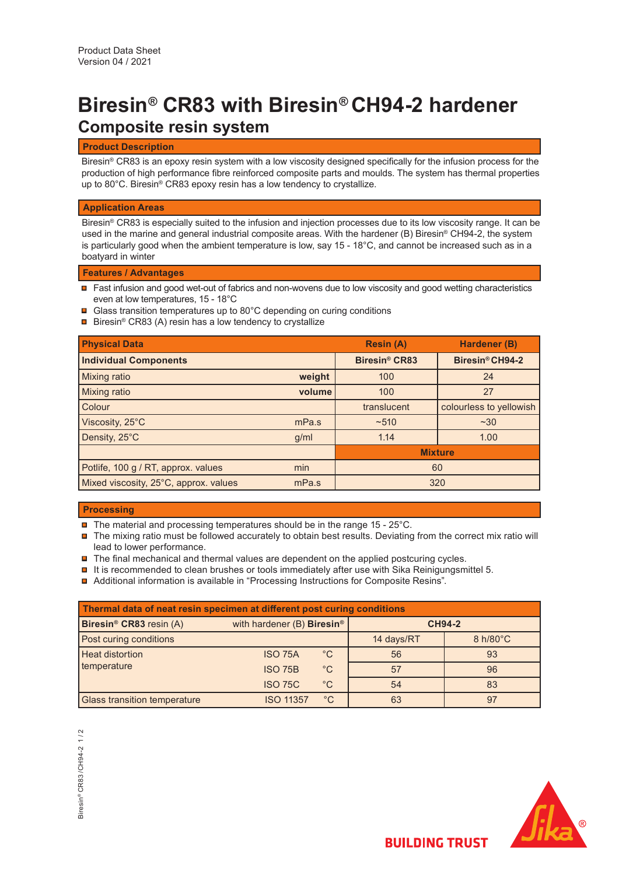# **Composite resin system Biresin® CR83 with Biresin® CH94-2 hardener**

## **Product Description**

Biresin® CR83 is an epoxy resin system with a low viscosity designed specifically for the infusion process for the production of high performance fibre reinforced composite parts and moulds. The system has thermal properties up to 80°C. Biresin® CR83 epoxy resin has a low tendency to crystallize.

### **Application Areas**

Biresin® CR83 is especially suited to the infusion and injection processes due to its low viscosity range. It can be used in the marine and general industrial composite areas. With the hardener (B) Biresin® CH94-2, the system is particularly good when the ambient temperature is low, say 15 - 18°C, and cannot be increased such as in a boatyard in winter

## **Features / Advantages**

- Fast infusion and good wet-out of fabrics and non-wovens due to low viscosity and good wetting characteristics even at low temperatures, 15 - 18°C
- **□** Glass transition temperatures up to 80°C depending on curing conditions
- **□** Biresin® CR83 (A) resin has a low tendency to crystallize

| <b>Physical Data</b>                  |        | <b>Resin (A)</b>                | <b>Hardener (B)</b>     |
|---------------------------------------|--------|---------------------------------|-------------------------|
| <b>Individual Components</b>          |        | <b>Biresin<sup>®</sup> CR83</b> | Biresin® CH94-2         |
| <b>Mixing ratio</b>                   | weight | 100                             | 24                      |
| <b>Mixing ratio</b>                   | volume | 100                             | 27                      |
| Colour                                |        | translucent                     | colourless to yellowish |
| Viscosity, 25°C                       | mPa.s  | $~10^{-510}$                    | $~1$ $~30$              |
| Density, 25°C                         | g/ml   | 1.14                            | 1.00                    |
|                                       |        | <b>Mixture</b>                  |                         |
| Potlife, 100 g / RT, approx. values   | min    | 60                              |                         |
| Mixed viscosity, 25°C, approx. values | mPa.s  | 320                             |                         |

## **Processing**

- $\blacksquare$  The material and processing temperatures should be in the range 15 25°C.
- $\blacksquare$  The mixing ratio must be followed accurately to obtain best results. Deviating from the correct mix ratio will lead to lower performance.
- $\blacksquare$  The final mechanical and thermal values are dependent on the applied postcuring cycles.
- $\blacksquare$  It is recommended to clean brushes or tools immediately after use with Sika Reinigungsmittel 5.
- Additional information is available in "Processing Instructions for Composite Resins".

| Thermal data of neat resin specimen at different post curing conditions |                                        |              |               |                    |  |  |  |  |
|-------------------------------------------------------------------------|----------------------------------------|--------------|---------------|--------------------|--|--|--|--|
| Biresin <sup>®</sup> CR83 resin (A)                                     | with hardener (B) Biresin <sup>®</sup> |              | <b>CH94-2</b> |                    |  |  |  |  |
| Post curing conditions                                                  |                                        |              | 14 days/RT    | $8 h/80^{\circ}$ C |  |  |  |  |
| <b>Heat distortion</b>                                                  | <b>ISO 75A</b>                         | $^{\circ}C$  | 56            | 93                 |  |  |  |  |
| temperature                                                             | <b>ISO 75B</b>                         | $^{\circ}$ C | 57            | 96                 |  |  |  |  |
|                                                                         | <b>ISO 75C</b>                         | $^{\circ}C$  | 54            | 83                 |  |  |  |  |
| <b>Glass transition temperature</b>                                     | <b>ISO 11357</b>                       | $^{\circ}C$  | 63            | 97                 |  |  |  |  |